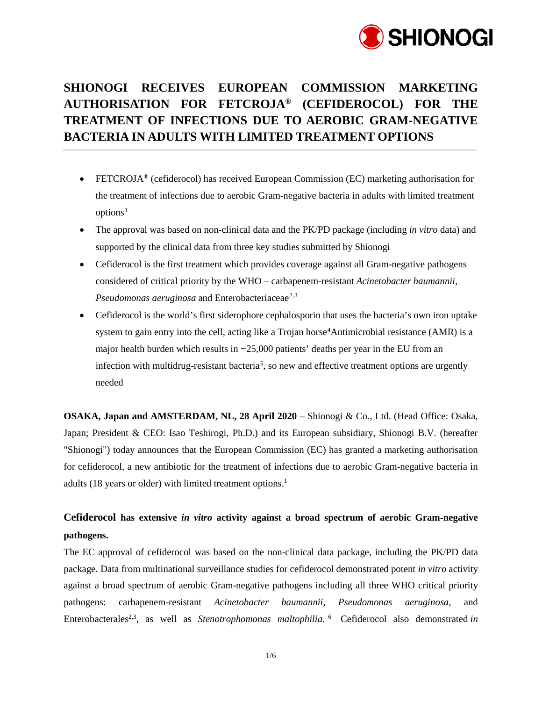

# **SHIONOGI RECEIVES EUROPEAN COMMISSION MARKETING AUTHORISATION FOR FETCROJA® (CEFIDEROCOL) FOR THE TREATMENT OF INFECTIONS DUE TO AEROBIC GRAM-NEGATIVE BACTERIA IN ADULTS WITH LIMITED TREATMENT OPTIONS**

- FETCROJA® (cefiderocol) has received European Commission (EC) marketing authorisation for the treatment of infections due to aerobic Gram-negative bacteria in adults with limited treatment  $options<sup>1</sup>$  $options<sup>1</sup>$  $options<sup>1</sup>$
- <span id="page-0-0"></span>• The approval was based on non-clinical data and the PK/PD package (including *in vitro* data) and supported by the clinical data from three key studies submitted by Shionogi
- Cefiderocol is the first treatment which provides coverage against all Gram-negative pathogens considered of critical priority by the WHO – carbapenem-resistant *Acinetobacter baumannii, Pseudomonas aeruginosa* and Enterobacteriaceae<sup>[2](#page-5-0),[3](#page-5-1)</sup>
- <span id="page-0-4"></span><span id="page-0-3"></span><span id="page-0-2"></span><span id="page-0-1"></span>• Cefiderocol is the world's first siderophore cephalosporin that uses the bacteria's own iron uptake system to gain entry into the cell, acting like a Trojan horse<sup>[4](#page-5-2)</sup>Antimicrobial resistance (AMR) is a major health burden which results in  $\sim$  25,000 patients' deaths per year in the EU from an infection with multidrug-resistant bacteria<sup>[5](#page-5-3)</sup>, so new and effective treatment options are urgently needed

**OSAKA, Japan and AMSTERDAM, NL, 28 April 2020** – Shionogi & Co., Ltd. (Head Office: Osaka, Japan; President & CEO: Isao Teshirogi, Ph.D.) and its European subsidiary, Shionogi B.V. (hereafter "Shionogi") today announces that the European Commission (EC) has granted a marketing authorisation for cefiderocol, a new antibiotic for the treatment of infections due to aerobic Gram-negative bacteria in adults (18 years or older) with limited treatment options. [1](#page-0-0)

## **Cefiderocol has extensive** *in vitro* **activity against a broad spectrum of aerobic Gram-negative pathogens.**

The EC approval of cefiderocol was based on the non-clinical data package, including the PK/PD data package. Data from multinational surveillance studies for cefiderocol demonstrated potent *in vitro* activity against a broad spectrum of aerobic Gram-negative pathogens including all three WHO critical priority pathogens: carbapenem-resistant *Acinetobacter baumannii, Pseudomonas aeruginosa*, and Enterobacterales<sup>2,[3](#page-0-2)</sup>, as well as *Stenotrophomonas maltophilia*. <sup>[6](#page-5-4)</sup> Cefiderocol also demonstrated *in*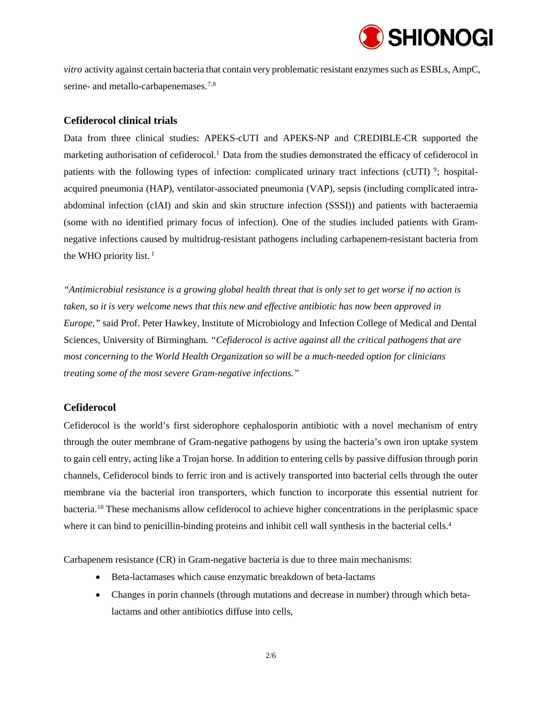

*vitro* activity against certain bacteria that contain very problematic resistant enzymes such as ESBLs, AmpC, serine- and metallo-carbapenemases.<sup>[7](#page-5-5),[8](#page-5-6)</sup>

## **Cefiderocol clinical trials**

Data from three clinical studies: APEKS-cUTI and APEKS-NP and CREDIBLE-CR supported the marketing authorisation of cefiderocol[.1](#page-0-0) Data from the studies demonstrated the efficacy of cefiderocol in patients with the following types of infection: complicated urinary tract infections (cUTI)  $\frac{9}{2}$  $\frac{9}{2}$  $\frac{9}{2}$ ; hospitalacquired pneumonia (HAP), ventilator-associated pneumonia (VAP), sepsis (including complicated intraabdominal infection (cIAI) and skin and skin structure infection (SSSI)) and patients with bacteraemia (some with no identified primary focus of infection). One of the studies included patients with Gramnegative infections caused by multidrug-resistant pathogens including carbapenem-resistant bacteria from the WHO priority list.  $<sup>1</sup>$  $<sup>1</sup>$  $<sup>1</sup>$ </sup>

*"Antimicrobial resistance is a growing global health threat that is only set to get worse if no action is taken, so it is very welcome news that this new and effective antibiotic has now been approved in Europe,"* said Prof. Peter Hawkey, Institute of Microbiology and Infection College of Medical and Dental Sciences, University of Birmingham. *"Cefiderocol is active against all the critical pathogens that are most concerning to the World Health Organization so will be a much-needed option for clinicians treating some of the most severe Gram-negative infections."*

## **Cefiderocol**

Cefiderocol is the world's first siderophore cephalosporin antibiotic with a novel mechanism of entry through the outer membrane of Gram-negative pathogens by using the bacteria's own iron uptake system to gain cell entry, acting like a Trojan horse. In addition to entering cells by passive diffusion through porin channels, Cefiderocol binds to ferric iron and is actively transported into bacterial cells through the outer membrane via the bacterial iron transporters, which function to incorporate this essential nutrient for bacteria. [10](#page-5-8) These mechanisms allow cefiderocol to achieve higher concentrations in the periplasmic space where it can bind to penicillin-binding proteins and inhibit cell wall synthesis in the bacterial cells.<sup>4</sup>

Carbapenem resistance (CR) in Gram-negative bacteria is due to three main mechanisms:

- Beta-lactamases which cause enzymatic breakdown of beta-lactams
- Changes in porin channels (through mutations and decrease in number) through which betalactams and other antibiotics diffuse into cells,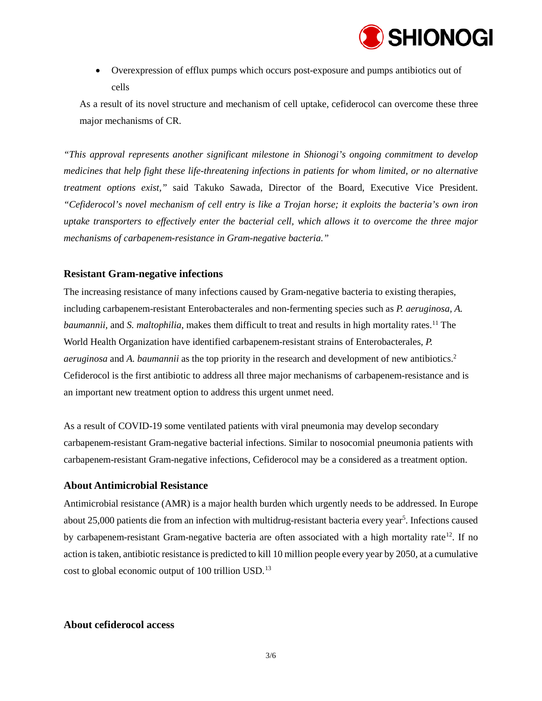

• Overexpression of efflux pumps which occurs post-exposure and pumps antibiotics out of cells

As a result of its novel structure and mechanism of cell uptake, cefiderocol can overcome these three major mechanisms of CR.

*"This approval represents another significant milestone in Shionogi's ongoing commitment to develop medicines that help fight these life-threatening infections in patients for whom limited, or no alternative treatment options exist,"* said Takuko Sawada, Director of the Board, Executive Vice President. *"Cefiderocol's novel mechanism of cell entry is like a Trojan horse; it exploits the bacteria's own iron uptake transporters to effectively enter the bacterial cell, which allows it to overcome the three major mechanisms of carbapenem-resistance in Gram-negative bacteria."*

## **Resistant Gram-negative infections**

The increasing resistance of many infections caused by Gram-negative bacteria to existing therapies, including carbapenem-resistant Enterobacterales and non-fermenting species such as *P. aeruginosa, A. baumannii*, and *S. maltophilia*, makes them difficult to treat and results in high mortality rates.<sup>[11](#page-5-9)</sup> The World Health Organization have identified carbapenem-resistant strains of Enterobacterales, *P. aeruginosa* and *A. baumannii* as the top priority in the research and development of new antibiotics.<sup>2</sup> Cefiderocol is the first antibiotic to address all three major mechanisms of carbapenem-resistance and is an important new treatment option to address this urgent unmet need.

As a result of COVID-19 some ventilated patients with viral pneumonia may develop secondary carbapenem-resistant Gram-negative bacterial infections. Similar to nosocomial pneumonia patients with carbapenem-resistant Gram-negative infections, Cefiderocol may be a considered as a treatment option.

## **About Antimicrobial Resistance**

Antimicrobial resistance (AMR) is a major health burden which urgently needs to be addressed. In Europe about 25,000 patients die from an infection with multidrug-resistant bacteria every year<sup>5</sup>. Infections caused by carbapenem-resistant Gram-negative bacteria are often associated with a high mortality rate<sup>12</sup>. If no action is taken, antibiotic resistance is predicted to kill 10 million people every year by 2050, at a cumulative cost to global economic output of 100 trillion USD.<sup>[13](#page-5-11)</sup>

## **About cefiderocol access**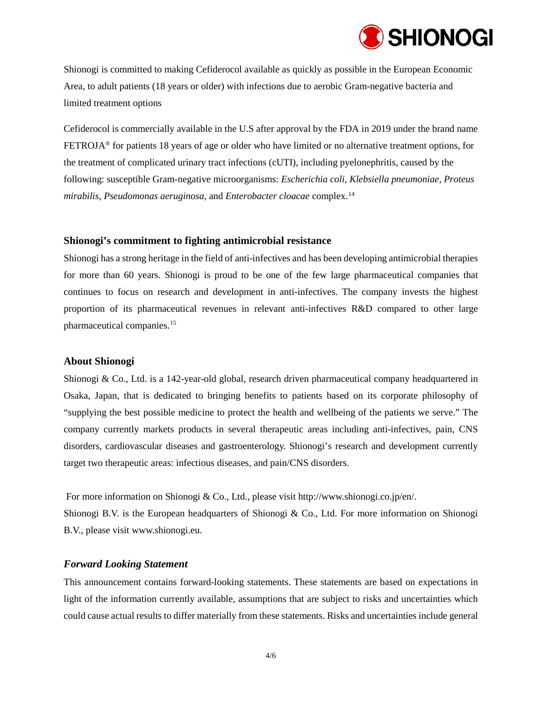

Shionogi is committed to making Cefiderocol available as quickly as possible in the European Economic Area, to adult patients (18 years or older) with infections due to aerobic Gram-negative bacteria and limited treatment options

Cefiderocol is commercially available in the U.S after approval by the FDA in 2019 under the brand name FETROJA® for patients 18 years of age or older who have limited or no alternative treatment options, for the treatment of complicated urinary tract infections (cUTI), including pyelonephritis, caused by the following: susceptible Gram-negative microorganisms: *Escherichia coli, Klebsiella pneumoniae, Proteus mirabilis, Pseudomonas aeruginosa,* and *Enterobacter cloacae* complex. [14](#page-5-12)

#### **Shionogi's commitment to fighting antimicrobial resistance**

Shionogi has a strong heritage in the field of anti-infectives and has been developing antimicrobial therapies for more than 60 years. Shionogi is proud to be one of the few large pharmaceutical companies that continues to focus on research and development in anti-infectives. The company invests the highest proportion of its pharmaceutical revenues in relevant anti-infectives R&D compared to other large pharmaceutical companies.[15](#page-5-13)

#### **About Shionogi**

Shionogi & Co., Ltd. is a 142-year-old global, research driven pharmaceutical company headquartered in Osaka, Japan, that is dedicated to bringing benefits to patients based on its corporate philosophy of "supplying the best possible medicine to protect the health and wellbeing of the patients we serve." The company currently markets products in several therapeutic areas including anti-infectives, pain, CNS disorders, cardiovascular diseases and gastroenterology. Shionogi's research and development currently target two therapeutic areas: infectious diseases, and pain/CNS disorders.

For more information on Shionogi & Co., Ltd., please visit [http://www.shionogi.co.jp/en/.](http://www.shionogi.co.jp/en/) Shionogi B.V. is the European headquarters of Shionogi & Co., Ltd. For more information on Shionogi B.V., please visit [www.shionogi.eu.](http://www.shionogi.eu/)

#### *Forward Looking Statement*

This announcement contains forward-looking statements. These statements are based on expectations in light of the information currently available, assumptions that are subject to risks and uncertainties which could cause actual results to differ materially from these statements. Risks and uncertainties include general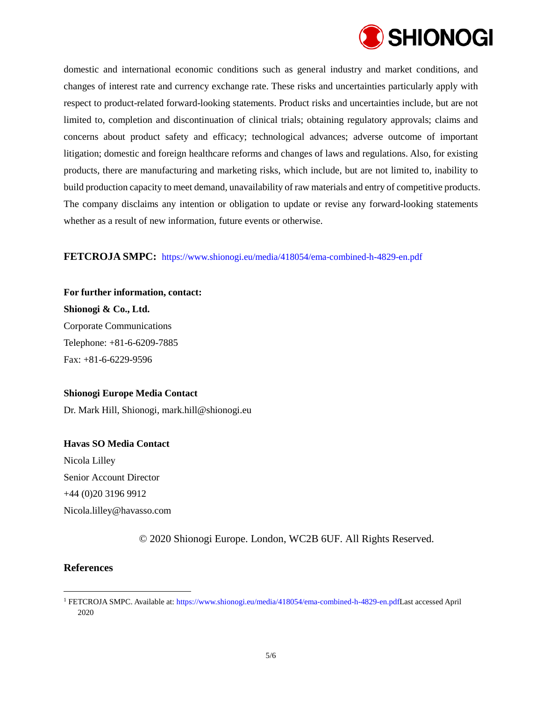

domestic and international economic conditions such as general industry and market conditions, and changes of interest rate and currency exchange rate. These risks and uncertainties particularly apply with respect to product-related forward-looking statements. Product risks and uncertainties include, but are not limited to, completion and discontinuation of clinical trials; obtaining regulatory approvals; claims and concerns about product safety and efficacy; technological advances; adverse outcome of important litigation; domestic and foreign healthcare reforms and changes of laws and regulations. Also, for existing products, there are manufacturing and marketing risks, which include, but are not limited to, inability to build production capacity to meet demand, unavailability of raw materials and entry of competitive products. The company disclaims any intention or obligation to update or revise any forward-looking statements whether as a result of new information, future events or otherwise.

## **FETCROJA SMPC:** <https://www.shionogi.eu/media/418054/ema-combined-h-4829-en.pdf>

**For further information, contact: Shionogi & Co., Ltd.**  Corporate Communications Telephone: +81-6-6209-7885 Fax: +81-6-6229-9596

#### **Shionogi Europe Media Contact**

Dr. Mark Hill, Shionogi, [mark.hill@shionogi.eu](mailto:mark.hill@shionogi.eu)

## **Havas SO Media Contact**

Nicola Lilley Senior Account Director +44 (0)20 3196 9912 Nicola.lilley@havasso.com

© 2020 Shionogi Europe. London, WC2B 6UF. All Rights Reserved.

## **References**

 $\ddot{ }$ 

<span id="page-4-0"></span><sup>1</sup> FETCROJA SMPC. Available at[: https://www.shionogi.eu/media/418054/ema-combined-h-4829-en.pdfL](https://www.shionogi.eu/media/418054/ema-combined-h-4829-en.pdf)ast accessed April 2020